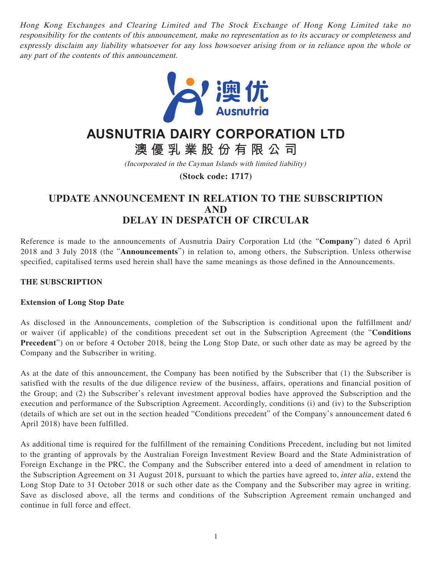Hong Kong Exchanges and Clearing Limited and The Stock Exchange of Hong Kong Limited take no responsibility for the contents of this announcement, make no representation as to its accuracy or completeness and expressly disclaim any liability whatsoever for any loss howsoever arising from or in reliance upon the whole or any part of the contents of this announcement.



# **AUSNUTRIA DAIRY CORPORATION LTD**

**澳優乳業股份有限公司**

(Incorporated in the Cayman Islands with limited liability)

**(Stock code: 1717)**

# **UPDATE ANNOUNCEMENT IN RELATION TO THE SUBSCRIPTION AND DELAY IN DESPATCH OF CIRCULAR**

Reference is made to the announcements of Ausnutria Dairy Corporation Ltd (the "**Company**") dated 6 April 2018 and 3 July 2018 (the "**Announcements**") in relation to, among others, the Subscription. Unless otherwise specified, capitalised terms used herein shall have the same meanings as those defined in the Announcements.

### **THE SUBSCRIPTION**

#### **Extension of Long Stop Date**

As disclosed in the Announcements, completion of the Subscription is conditional upon the fulfillment and/ or waiver (if applicable) of the conditions precedent set out in the Subscription Agreement (the "**Conditions Precedent**") on or before 4 October 2018, being the Long Stop Date, or such other date as may be agreed by the Company and the Subscriber in writing.

As at the date of this announcement, the Company has been notified by the Subscriber that (1) the Subscriber is satisfied with the results of the due diligence review of the business, affairs, operations and financial position of the Group; and (2) the Subscriber's relevant investment approval bodies have approved the Subscription and the execution and performance of the Subscription Agreement. Accordingly, conditions (i) and (iv) to the Subscription (details of which are set out in the section headed "Conditions precedent" of the Company's announcement dated 6 April 2018) have been fulfilled.

As additional time is required for the fulfillment of the remaining Conditions Precedent, including but not limited to the granting of approvals by the Australian Foreign Investment Review Board and the State Administration of Foreign Exchange in the PRC, the Company and the Subscriber entered into a deed of amendment in relation to the Subscription Agreement on 31 August 2018, pursuant to which the parties have agreed to, inter alia , extend the Long Stop Date to 31 October 2018 or such other date as the Company and the Subscriber may agree in writing. Save as disclosed above, all the terms and conditions of the Subscription Agreement remain unchanged and continue in full force and effect.